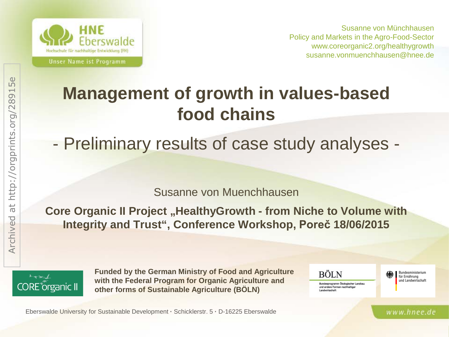

Susanne von Münchhausen Policy and Markets in the Agro-Food-Sector www.coreorganic2.org/healthygrowth susanne.vonmuenchhausen@hnee.de

## **Management of growth in values-based food chains**

### - Preliminary results of case study analyses -

Susanne von Muenchhausen

**Core Organic II Project "HealthyGrowth - from Niche to Volume with Integrity and Trust", Conference Workshop, Poreč 18/06/2015**



**Funded by the German Ministry of Food and Agriculture with the Federal Program for Organic Agriculture and other forms of Sustainable Agriculture (BÖLN)** 



Bundesministerium für Ernährung und Landwirtschaft

www.hnee.de

Eberswalde University for Sustainable Development **·** Schicklerstr. 5 **·** D-16225 Eberswalde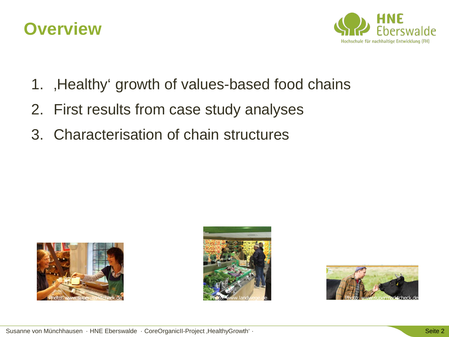



- 1. Healthy' growth of values-based food chains
- 2. First results from case study analyses
- 3. Characterisation of chain structures





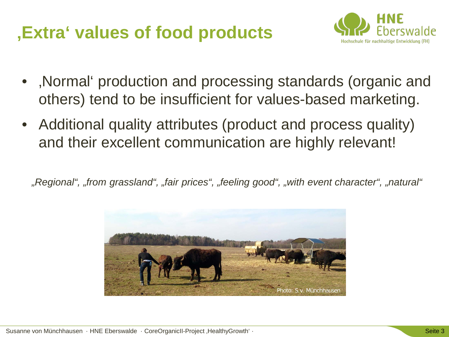## **'Extra' values of food products**



- Normal production and processing standards (organic and others) tend to be insufficient for values-based marketing.
- Additional quality attributes (product and process quality) and their excellent communication are highly relevant!

*"Regional", "from grassland", "fair prices", "feeling good", "with event character", "natural"*

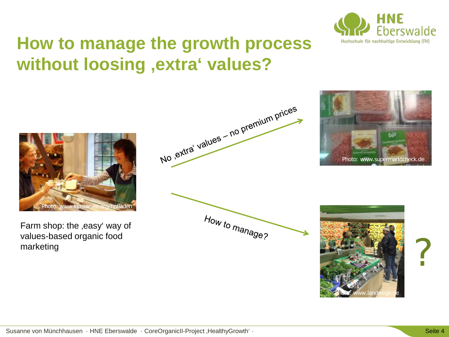

### **How to manage the growth process without loosing 'extra' values?**



Farm shop: the ,easy' way of values-based organic food





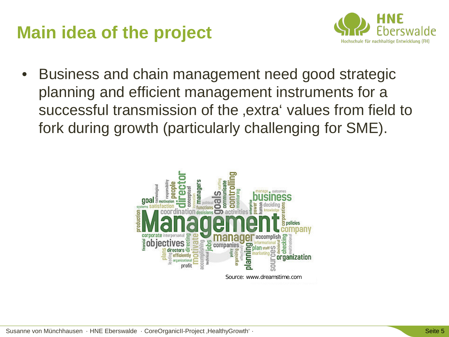### **Main idea of the project**



• Business and chain management need good strategic planning and efficient management instruments for a successful transmission of the ,extra' values from field to fork during growth (particularly challenging for SME).

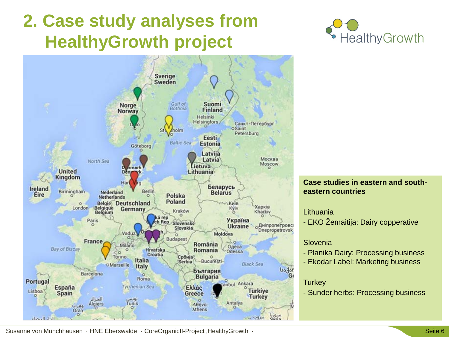## **2. Case study analyses from HealthyGrowth project**



· HealthyGrowth

#### **Case studies in eastern and southeastern countries**

#### Lithuania

- EKO Žemaitija: Dairy copperative

#### Slovenia

- Planika Dairy: Processing business
- Ekodar Label: Marketing business

#### **Turkey**

- Sunder herbs: Processing business

Susanne von Münchhausen · HNE Eberswalde · CoreOrganicII-Project ,HealthyGrowth' · Seite 6 Seite 6 Seite 6 Seite 6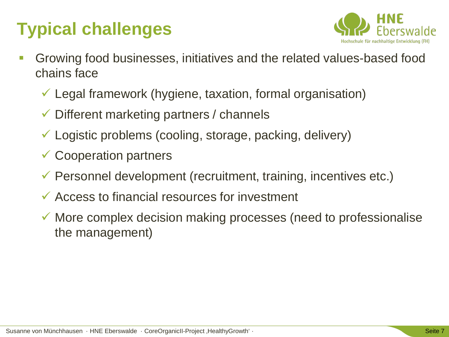## **Typical challenges**



- Growing food businesses, initiatives and the related values-based food chains face
	- Legal framework (hygiene, taxation, formal organisation)
	- Different marketing partners / channels
	- Logistic problems (cooling, storage, packing, delivery)
	- **✓ Cooperation partners**
	- $\checkmark$  Personnel development (recruitment, training, incentives etc.)
	- $\checkmark$  Access to financial resources for investment
	- $\checkmark$  More complex decision making processes (need to professionalise the management)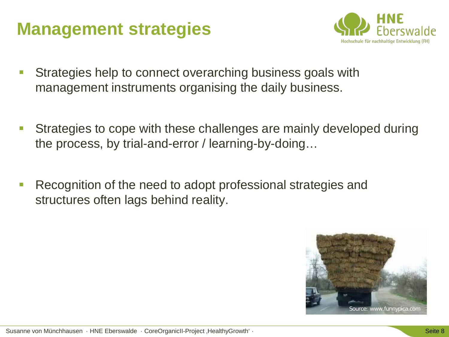### **Management strategies**



- Strategies help to connect overarching business goals with management instruments organising the daily business.
- Strategies to cope with these challenges are mainly developed during the process, by trial-and-error / learning-by-doing…
- Recognition of the need to adopt professional strategies and structures often lags behind reality.

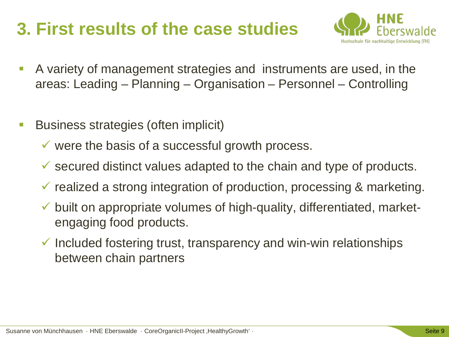### **3. First results of the case studies**



- A variety of management strategies and instruments are used, in the areas: Leading – Planning – Organisation – Personnel – Controlling
- **Business strategies (often implicit)** 
	- $\checkmark$  were the basis of a successful growth process.
	- $\checkmark$  secured distinct values adapted to the chain and type of products.
	- $\checkmark$  realized a strong integration of production, processing & marketing.
	- $\checkmark$  built on appropriate volumes of high-quality, differentiated, marketengaging food products.
	- $\checkmark$  Included fostering trust, transparency and win-win relationships between chain partners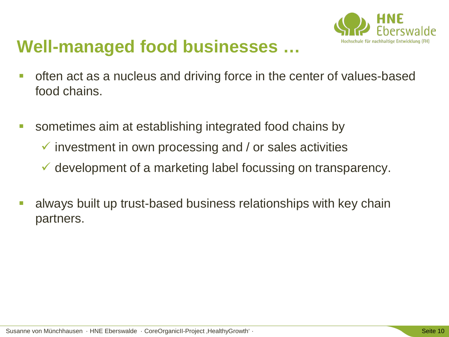

### **Well-managed food businesses …**

- **-** often act as a nucleus and driving force in the center of values-based food chains.
- sometimes aim at establishing integrated food chains by
	- $\checkmark$  investment in own processing and / or sales activities
	- $\checkmark$  development of a marketing label focussing on transparency.
- **always built up trust-based business relationships with key chain** partners.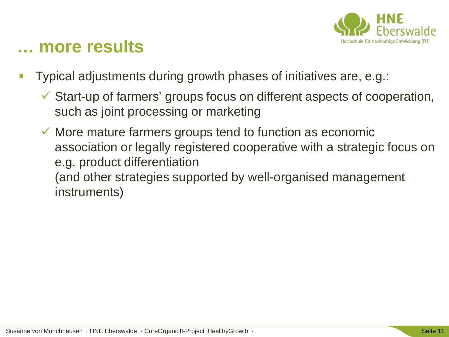

### **… more results**

- Typical adjustments during growth phases of initiatives are, e.g.:
	- Start-up of farmers' groups focus on different aspects of cooperation, such as joint processing or marketing
	- $\checkmark$  More mature farmers groups tend to function as economic association or legally registered cooperative with a strategic focus on e.g. product differentiation (and other strategies supported by well-organised management instruments)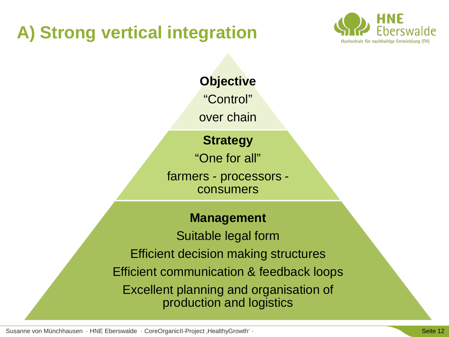## **A) Strong vertical integration**



**Objective**

"Control"

over chain

#### **Strategy**

"One for all"

farmers - processors consumers

#### **Management**

Suitable legal form Efficient decision making structures Efficient communication & feedback loops Excellent planning and organisation of production and logistics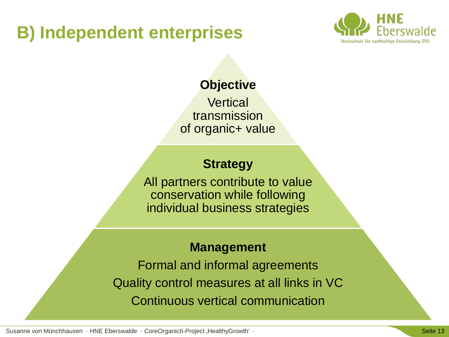### **B) Independent enterprises**



#### **Objective**

**Vertical** transmission of organic+ value

#### **Strategy**

All partners contribute to value conservation while following individual business strategies

#### **Management**

Formal and informal agreements Quality control measures at all links in VC Continuous vertical communication

Susanne von Münchhausen · HNE Eberswalde · CoreOrganicII-Project ,HealthyGrowth' · Seite 13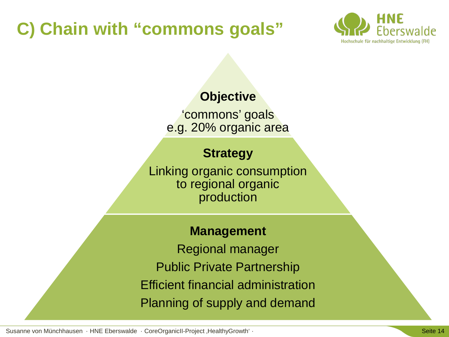## **C) Chain with "commons goals"**



#### **Objective**

'commons' goals e.g. 20% organic area

#### **Strategy**

Linking organic consumption to regional organic production

#### **Management**

Regional manager Public Private Partnership Efficient financial administration Planning of supply and demand